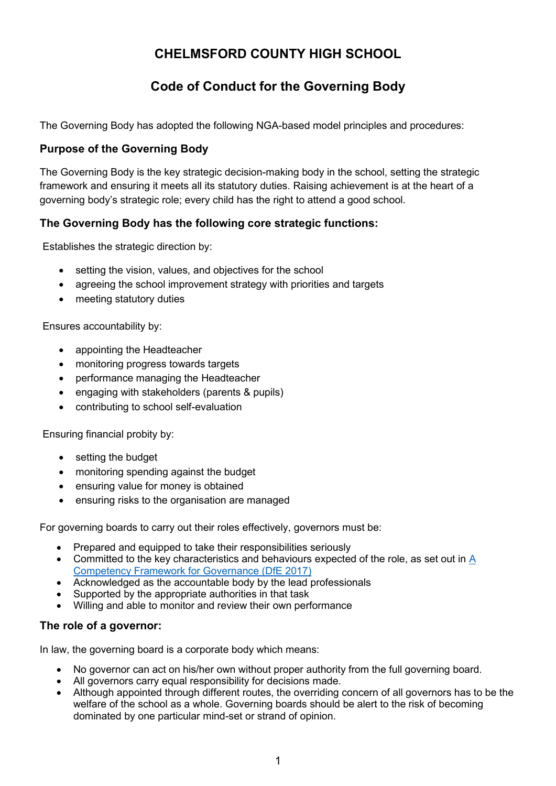# **CHELMSFORD COUNTY HIGH SCHOOL**

# **Code of Conduct for the Governing Body**

The Governing Body has adopted the following NGA-based model principles and procedures:

## **Purpose of the Governing Body**

The Governing Body is the key strategic decision-making body in the school, setting the strategic framework and ensuring it meets all its statutory duties. Raising achievement is at the heart of a governing body's strategic role; every child has the right to attend a good school.

# **The Governing Body has the following core strategic functions:**

Establishes the strategic direction by:

- setting the vision, values, and objectives for the school
- agreeing the school improvement strategy with priorities and targets
- meeting statutory duties

Ensures accountability by:

- appointing the Headteacher
- monitoring progress towards targets
- performance managing the Headteacher
- engaging with stakeholders (parents & pupils)
- contributing to school self-evaluation

Ensuring financial probity by:

- setting the budget
- monitoring spending against the budget
- ensuring value for money is obtained
- ensuring risks to the organisation are managed

For governing boards to carry out their roles effectively, governors must be:

- Prepared and equipped to take their responsibilities seriously
- Committed to the key characteristics and behaviours expected of the role, as set out in A [Competency Framework for Governance \(DfE 2017\)](https://assets.publishing.service.gov.uk/government/uploads/system/uploads/attachment_data/file/583733/Competency_framework_for_governance_.pdf)
- Acknowledged as the accountable body by the lead professionals
- Supported by the appropriate authorities in that task
- Willing and able to monitor and review their own performance

### **The role of a governor:**

In law, the governing board is a corporate body which means:

- No governor can act on his/her own without proper authority from the full governing board.
- All governors carry equal responsibility for decisions made.
- Although appointed through different routes, the overriding concern of all governors has to be the welfare of the school as a whole. Governing boards should be alert to the risk of becoming dominated by one particular mind-set or strand of opinion.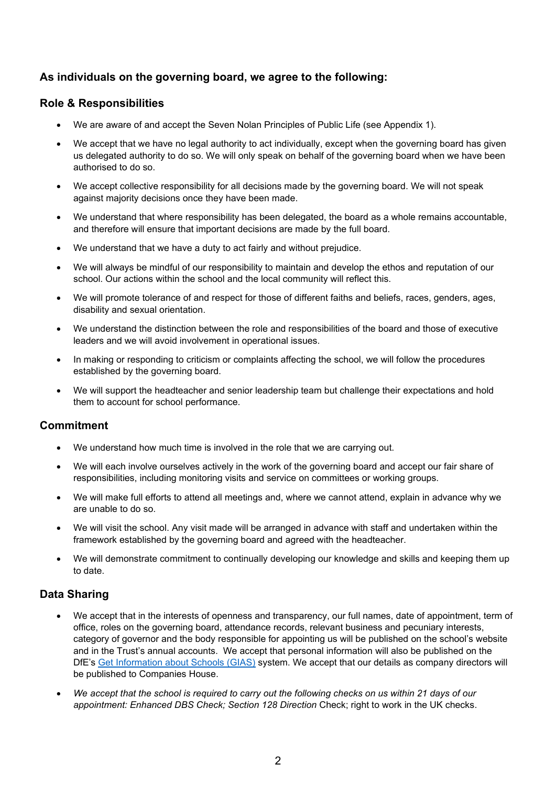# **As individuals on the governing board, we agree to the following:**

## **Role & Responsibilities**

- We are aware of and accept the Seven Nolan Principles of Public Life (see Appendix 1).
- We accept that we have no legal authority to act individually, except when the governing board has given us delegated authority to do so. We will only speak on behalf of the governing board when we have been authorised to do so.
- We accept collective responsibility for all decisions made by the governing board. We will not speak against majority decisions once they have been made.
- We understand that where responsibility has been delegated, the board as a whole remains accountable, and therefore will ensure that important decisions are made by the full board.
- We understand that we have a duty to act fairly and without prejudice.
- We will always be mindful of our responsibility to maintain and develop the ethos and reputation of our school. Our actions within the school and the local community will reflect this.
- We will promote tolerance of and respect for those of different faiths and beliefs, races, genders, ages, disability and sexual orientation.
- We understand the distinction between the role and responsibilities of the board and those of executive leaders and we will avoid involvement in operational issues.
- In making or responding to criticism or complaints affecting the school, we will follow the procedures established by the governing board.
- We will support the headteacher and senior leadership team but challenge their expectations and hold them to account for school performance.

### **Commitment**

- We understand how much time is involved in the role that we are carrying out.
- We will each involve ourselves actively in the work of the governing board and accept our fair share of responsibilities, including monitoring visits and service on committees or working groups.
- We will make full efforts to attend all meetings and, where we cannot attend, explain in advance why we are unable to do so.
- We will visit the school. Any visit made will be arranged in advance with staff and undertaken within the framework established by the governing board and agreed with the headteacher.
- We will demonstrate commitment to continually developing our knowledge and skills and keeping them up to date.

### **Data Sharing**

- We accept that in the interests of openness and transparency, our full names, date of appointment, term of office, roles on the governing board, attendance records, relevant business and pecuniary interests, category of governor and the body responsible for appointing us will be published on the school's website and in the Trust's annual accounts. We accept that personal information will also be published on the DfE's [Get Information about Schools \(GIAS\)](https://get-information-schools.service.gov.uk/) system. We accept that our details as company directors will be published to Companies House.
- *We accept that the school is required to carry out the following checks on us within 21 days of our appointment: Enhanced DBS Check; Section 128 Direction* Check; right to work in the UK checks.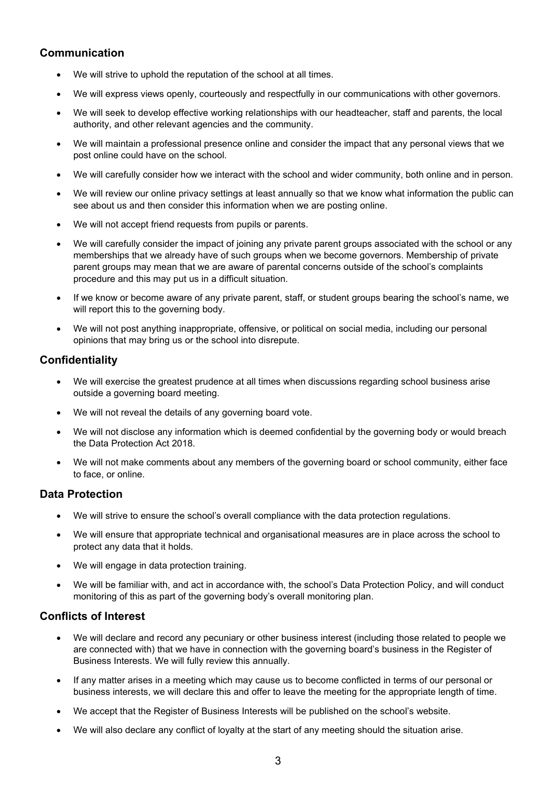### **Communication**

- We will strive to uphold the reputation of the school at all times.
- We will express views openly, courteously and respectfully in our communications with other governors.
- We will seek to develop effective working relationships with our headteacher, staff and parents, the local authority, and other relevant agencies and the community.
- We will maintain a professional presence online and consider the impact that any personal views that we post online could have on the school.
- We will carefully consider how we interact with the school and wider community, both online and in person.
- We will review our online privacy settings at least annually so that we know what information the public can see about us and then consider this information when we are posting online.
- We will not accept friend requests from pupils or parents.
- We will carefully consider the impact of joining any private parent groups associated with the school or any memberships that we already have of such groups when we become governors. Membership of private parent groups may mean that we are aware of parental concerns outside of the school's complaints procedure and this may put us in a difficult situation.
- If we know or become aware of any private parent, staff, or student groups bearing the school's name, we will report this to the governing body.
- We will not post anything inappropriate, offensive, or political on social media, including our personal opinions that may bring us or the school into disrepute.

## **Confidentiality**

- We will exercise the greatest prudence at all times when discussions regarding school business arise outside a governing board meeting.
- We will not reveal the details of any governing board vote.
- We will not disclose any information which is deemed confidential by the governing body or would breach the Data Protection Act 2018.
- We will not make comments about any members of the governing board or school community, either face to face, or online.

### **Data Protection**

- We will strive to ensure the school's overall compliance with the data protection regulations.
- We will ensure that appropriate technical and organisational measures are in place across the school to protect any data that it holds.
- We will engage in data protection training.
- We will be familiar with, and act in accordance with, the school's Data Protection Policy, and will conduct monitoring of this as part of the governing body's overall monitoring plan.

### **Conflicts of Interest**

- We will declare and record any pecuniary or other business interest (including those related to people we are connected with) that we have in connection with the governing board's business in the Register of Business Interests. We will fully review this annually.
- If any matter arises in a meeting which may cause us to become conflicted in terms of our personal or business interests, we will declare this and offer to leave the meeting for the appropriate length of time.
- We accept that the Register of Business Interests will be published on the school's website.
- We will also declare any conflict of loyalty at the start of any meeting should the situation arise.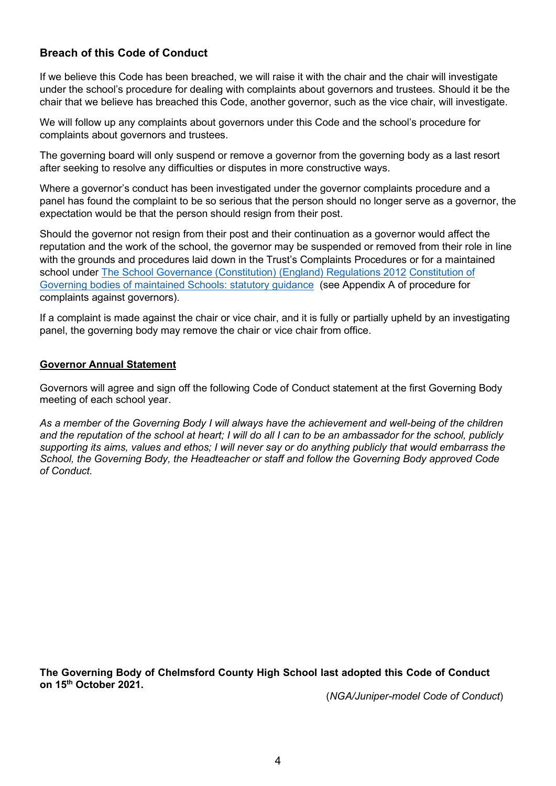# **Breach of this Code of Conduct**

If we believe this Code has been breached, we will raise it with the chair and the chair will investigate under the school's procedure for dealing with complaints about governors and trustees. Should it be the chair that we believe has breached this Code, another governor, such as the vice chair, will investigate.

We will follow up any complaints about governors under this Code and the school's procedure for complaints about governors and trustees.

The governing board will only suspend or remove a governor from the governing body as a last resort after seeking to resolve any difficulties or disputes in more constructive ways.

Where a governor's conduct has been investigated under the governor complaints procedure and a panel has found the complaint to be so serious that the person should no longer serve as a governor, the expectation would be that the person should resign from their post.

Should the governor not resign from their post and their continuation as a governor would affect the reputation and the work of the school, the governor may be suspended or removed from their role in line with the grounds and procedures laid down in the Trust's Complaints Procedures or for a maintained school under [The School Governance \(Constitution\) \(England\) Regulations 2012](https://www.legislation.gov.uk/uksi/2012/1034/regulation/25/made) [Constitution of](https://www.gov.uk/government/publications/constitution-of-governing-bodies-of-maintained-schools)  [Governing bodies of maintained Schools: statutory guidance](https://www.gov.uk/government/publications/constitution-of-governing-bodies-of-maintained-schools) (see Appendix A of procedure for complaints against governors).

If a complaint is made against the chair or vice chair, and it is fully or partially upheld by an investigating panel, the governing body may remove the chair or vice chair from office.

#### **Governor Annual Statement**

Governors will agree and sign off the following Code of Conduct statement at the first Governing Body meeting of each school year.

*As a member of the Governing Body I will always have the achievement and well-being of the children and the reputation of the school at heart; I will do all I can to be an ambassador for the school, publicly supporting its aims, values and ethos; I will never say or do anything publicly that would embarrass the School, the Governing Body, the Headteacher or staff and follow the Governing Body approved Code of Conduct.* 

**The Governing Body of Chelmsford County High School last adopted this Code of Conduct on 15 th October 2021.**

(*NGA/Juniper-model Code of Conduct*)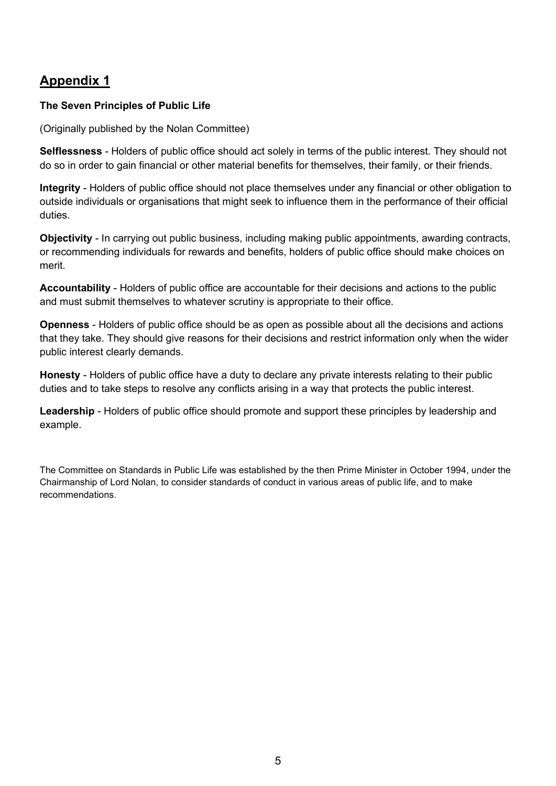# **Appendix 1**

## **The Seven Principles of Public Life**

(Originally published by the Nolan Committee)

**Selflessness** - Holders of public office should act solely in terms of the public interest. They should not do so in order to gain financial or other material benefits for themselves, their family, or their friends.

**Integrity** - Holders of public office should not place themselves under any financial or other obligation to outside individuals or organisations that might seek to influence them in the performance of their official duties.

**Objectivity** - In carrying out public business, including making public appointments, awarding contracts, or recommending individuals for rewards and benefits, holders of public office should make choices on merit.

**Accountability** - Holders of public office are accountable for their decisions and actions to the public and must submit themselves to whatever scrutiny is appropriate to their office.

**Openness** - Holders of public office should be as open as possible about all the decisions and actions that they take. They should give reasons for their decisions and restrict information only when the wider public interest clearly demands.

**Honesty** - Holders of public office have a duty to declare any private interests relating to their public duties and to take steps to resolve any conflicts arising in a way that protects the public interest.

**Leadership** - Holders of public office should promote and support these principles by leadership and example.

The Committee on Standards in Public Life was established by the then Prime Minister in October 1994, under the Chairmanship of Lord Nolan, to consider standards of conduct in various areas of public life, and to make recommendations.